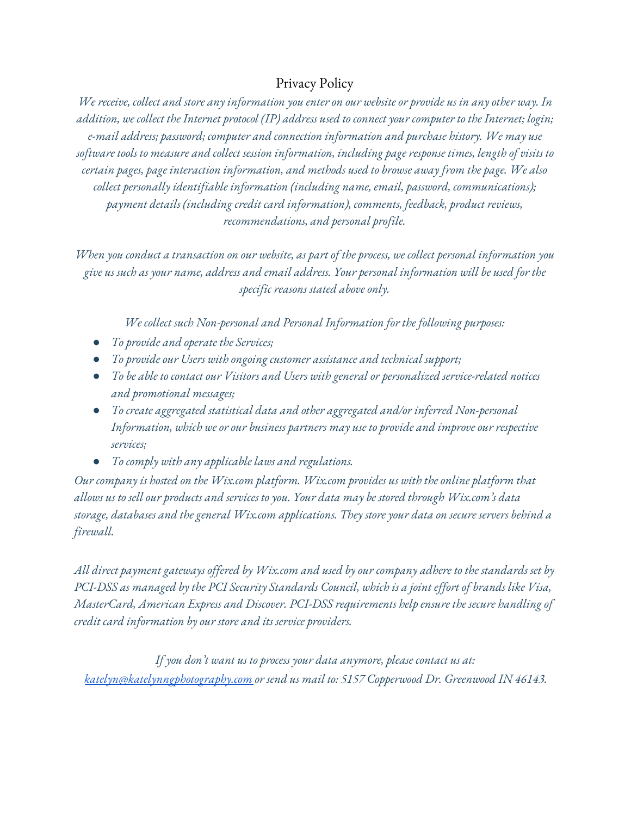## Privacy Policy

We receive, collect and store any information you enter on our website or provide us in any other way. In addition, we collect the Internet protocol (IP) address used to connect your computer to the Internet; login; *e-mail address; password; computer and connection information and purchase history. We may use software tools to measure and collect session information, including page response times, length of visits to certain pages, page interaction information, and methods used to browse away from the page. We also collect personally identifiable information (including name, email, password, communications); payment details (including credit card information), comments, feedback, product reviews, recommendations, and personal profile.*

When you conduct a transaction on our website, as part of the process, we collect personal information you give us such as your name, address and email address. Your personal information will be used for the *specific reasons stated above only.*

*We collect such Non-personal and Personal Information for the following purposes:*

- *● To provide and operate the Services;*
- *● To provide our Users with ongoing customer assistance and technical support;*
- *● To be able to contact our Visitors and Users with general or personalized service-related notices and promotional messages;*
- *● To create aggregated statistical data and other aggregated and/or inferred Non-personal Information, which we or our business partners may use to provide and improve our respective services;*
- *● To comply with any applicable laws and regulations.*

*Our company is hosted on the Wix.com platform. Wix.com provides us with the online platform that allows us to sell our products and services to you. Your data may be stored through Wix.com's data storage, databases and the general Wix.com applications. They store your data on secure servers behind a firewall.*

All direct payment gateways offered by Wix.com and used by our company adhere to the standards set by PCI-DSS as managed by the PCI Security Standards Council, which is a joint effort of brands like Visa, *MasterCard, American Express and Discover. PCI-DSS requirements help ensure the secure handling of credit card information by our store and its service providers.*

*If you don't want us to process your data anymore, please contact us at: [katelyn@katelynngphotography.com](mailto:katelyn@katelynngphotography.com) or send us mail to: 5157 Copperwood Dr. Greenwood IN 46143.*